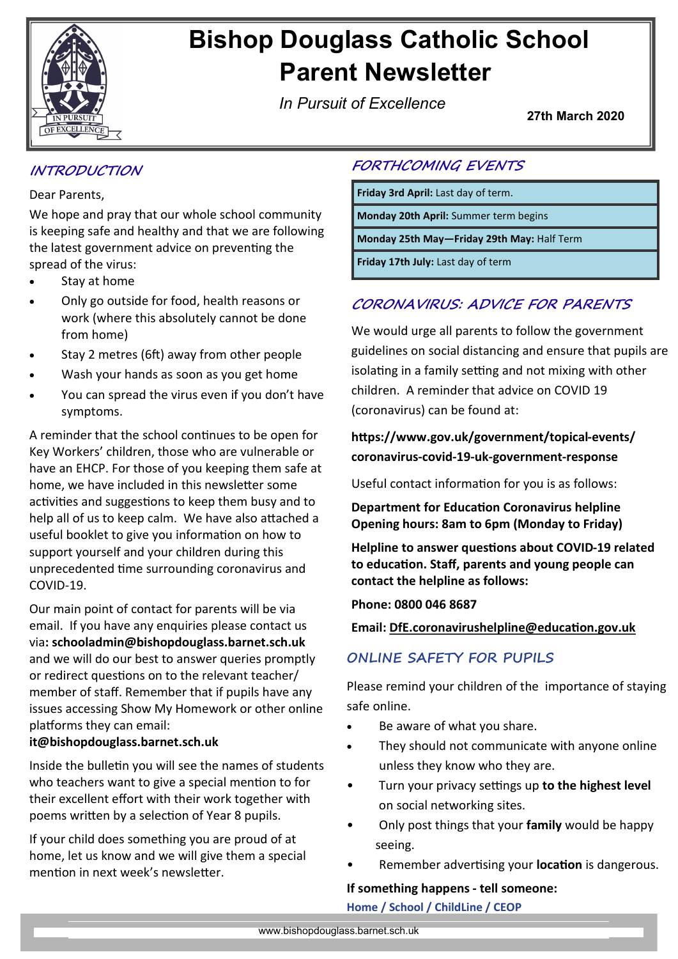

# **Bishop Douglass Catholic School Parent Newsletter**

*In Pursuit of Excellence*

**27th March 2020**

## **INTRODUCTION**

#### Dear Parents,

We hope and pray that our whole school community is keeping safe and healthy and that we are following the latest government advice on preventing the spread of the virus:

- Stay at home
- Only go outside for food, health reasons or work (where this absolutely cannot be done from home)
- Stay 2 metres (6ft) away from other people
- Wash your hands as soon as you get home
- You can spread the virus even if you don't have symptoms.

A reminder that the school continues to be open for Key Workers' children, those who are vulnerable or have an EHCP. For those of you keeping them safe at home, we have included in this newsletter some activities and suggestions to keep them busy and to help all of us to keep calm. We have also attached a useful booklet to give you information on how to support yourself and your children during this unprecedented time surrounding coronavirus and COVID-19.

Our main point of contact for parents will be via email. If you have any enquiries please contact us via**: schooladmin@bishopdouglass.barnet.sch.uk**  and we will do our best to answer queries promptly or redirect questions on to the relevant teacher/ member of staff. Remember that if pupils have any issues accessing Show My Homework or other online platforms they can email:

#### **it@bishopdouglass.barnet.sch.uk**

Inside the bulletin you will see the names of students who teachers want to give a special mention to for their excellent effort with their work together with poems written by a selection of Year 8 pupils.

If your child does something you are proud of at home, let us know and we will give them a special mention in next week's newsletter.

## **FORTHCOMING EVENTS**

**Friday 3rd April:** Last day of term.

**Monday 20th April:** Summer term begins

**Monday 25th May—Friday 29th May:** Half Term

**Friday 17th July:** Last day of term

## **CORONAVIRUS: ADVICE FOR PARENTS**

We would urge all parents to follow the government guidelines on social distancing and ensure that pupils are isolating in a family setting and not mixing with other children. A reminder that advice on COVID 19 (coronavirus) can be found at:

### **https://www.gov.uk/government/topical-events/ coronavirus-covid-19-uk-government-response**

Useful contact information for you is as follows:

**Department for Education Coronavirus helpline Opening hours: 8am to 6pm (Monday to Friday)**

**Helpline to answer questions about COVID-19 related to education. Staff, parents and young people can contact the helpline as follows:**

**Phone: 0800 046 8687**

**Email: [DfE.coronavirushelpline@education.gov.uk](mailto:DfE.coronavirushelpline@education.gov.uk)**

### **ONLINE SAFETY FOR PUPILS**

Please remind your children of the importance of staying safe online.

- Be aware of what you share.
- They should not communicate with anyone online unless they know who they are.
- Turn your privacy settings up **to the highest level**  on social networking sites.
- Only post things that your **family** would be happy seeing.
- Remember advertising your **location** is dangerous.

#### **If something happens - tell someone:**

**Home / School / ChildLine / CEOP**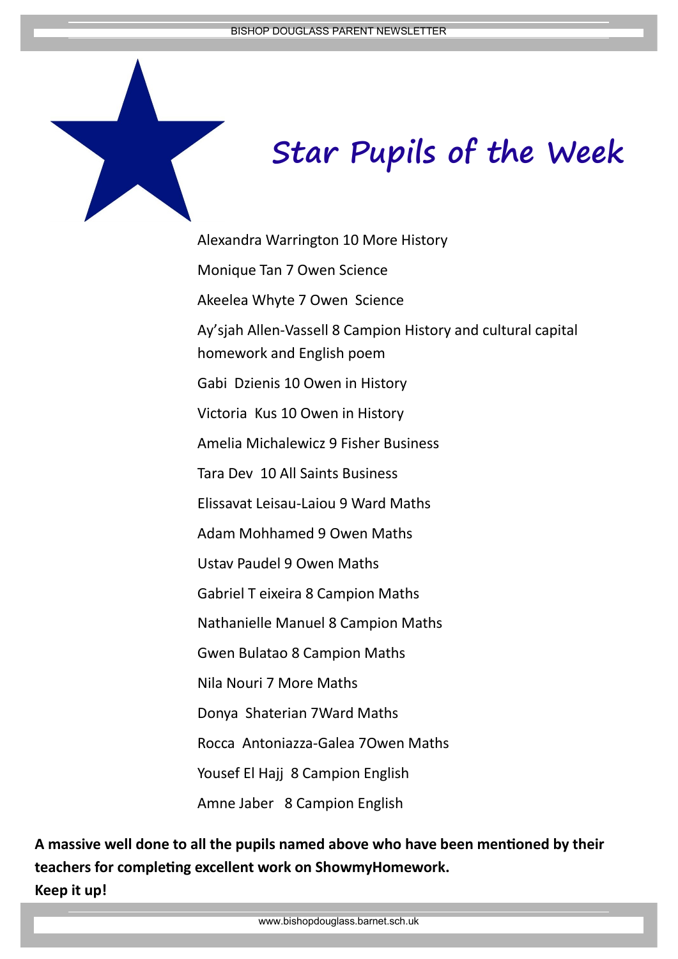

Alexandra Warrington 10 More History Monique Tan 7 Owen Science Akeelea Whyte 7 Owen Science Ay'sjah Allen-Vassell 8 Campion History and cultural capital homework and English poem Gabi Dzienis 10 Owen in History Victoria Kus 10 Owen in History Amelia Michalewicz 9 Fisher Business Tara Dev 10 All Saints Business Elissavat Leisau-Laiou 9 Ward Maths Adam Mohhamed 9 Owen Maths Ustav Paudel 9 Owen Maths Gabriel T eixeira 8 Campion Maths Nathanielle Manuel 8 Campion Maths Gwen Bulatao 8 Campion Maths Nila Nouri 7 More Maths Donya Shaterian 7Ward Maths Rocca Antoniazza-Galea 7Owen Maths Yousef El Hajj 8 Campion English Amne Jaber 8 Campion English

**A massive well done to all the pupils named above who have been mentioned by their teachers for completing excellent work on ShowmyHomework. Keep it up!** 

www.bishopdouglass.barnet.sch.uk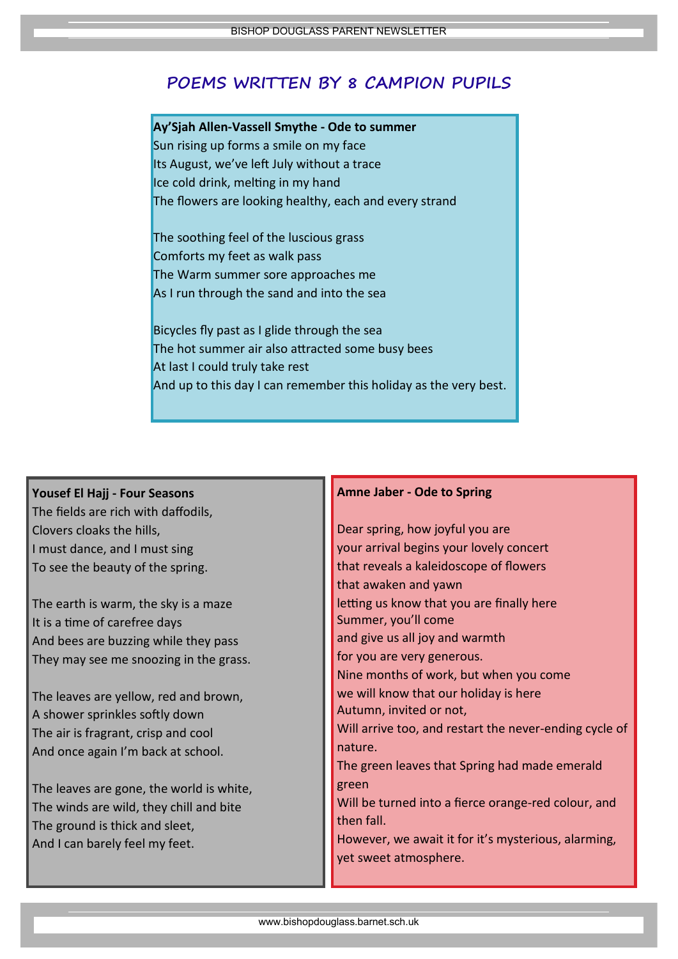## **POEMS WRITTEN BY 8 CAMPION PUPILS**

#### **Ay'Sjah Allen-Vassell Smythe - Ode to summer**

Sun rising up forms a smile on my face Its August, we've left July without a trace Ice cold drink, melting in my hand The flowers are looking healthy, each and every strand

The soothing feel of the luscious grass Comforts my feet as walk pass The Warm summer sore approaches me As I run through the sand and into the sea

Bicycles fly past as I glide through the sea The hot summer air also attracted some busy bees At last I could truly take rest And up to this day I can remember this holiday as the very best.

#### **Yousef El Hajj - Four Seasons**

The fields are rich with daffodils, Clovers cloaks the hills, I must dance, and I must sing To see the beauty of the spring.

The earth is warm, the sky is a maze It is a time of carefree days And bees are buzzing while they pass They may see me snoozing in the grass.

The leaves are yellow, red and brown, A shower sprinkles softly down The air is fragrant, crisp and cool And once again I'm back at school.

The leaves are gone, the world is white, The winds are wild, they chill and bite The ground is thick and sleet, And I can barely feel my feet.

#### **Amne Jaber - Ode to Spring**

Dear spring, how joyful you are your arrival begins your lovely concert that reveals a kaleidoscope of flowers that awaken and yawn letting us know that you are finally here Summer, you'll come and give us all joy and warmth for you are very generous. Nine months of work, but when you come we will know that our holiday is here Autumn, invited or not, Will arrive too, and restart the never-ending cycle of nature. The green leaves that Spring had made emerald green Will be turned into a fierce orange-red colour, and then fall. However, we await it for it's mysterious, alarming, yet sweet atmosphere.